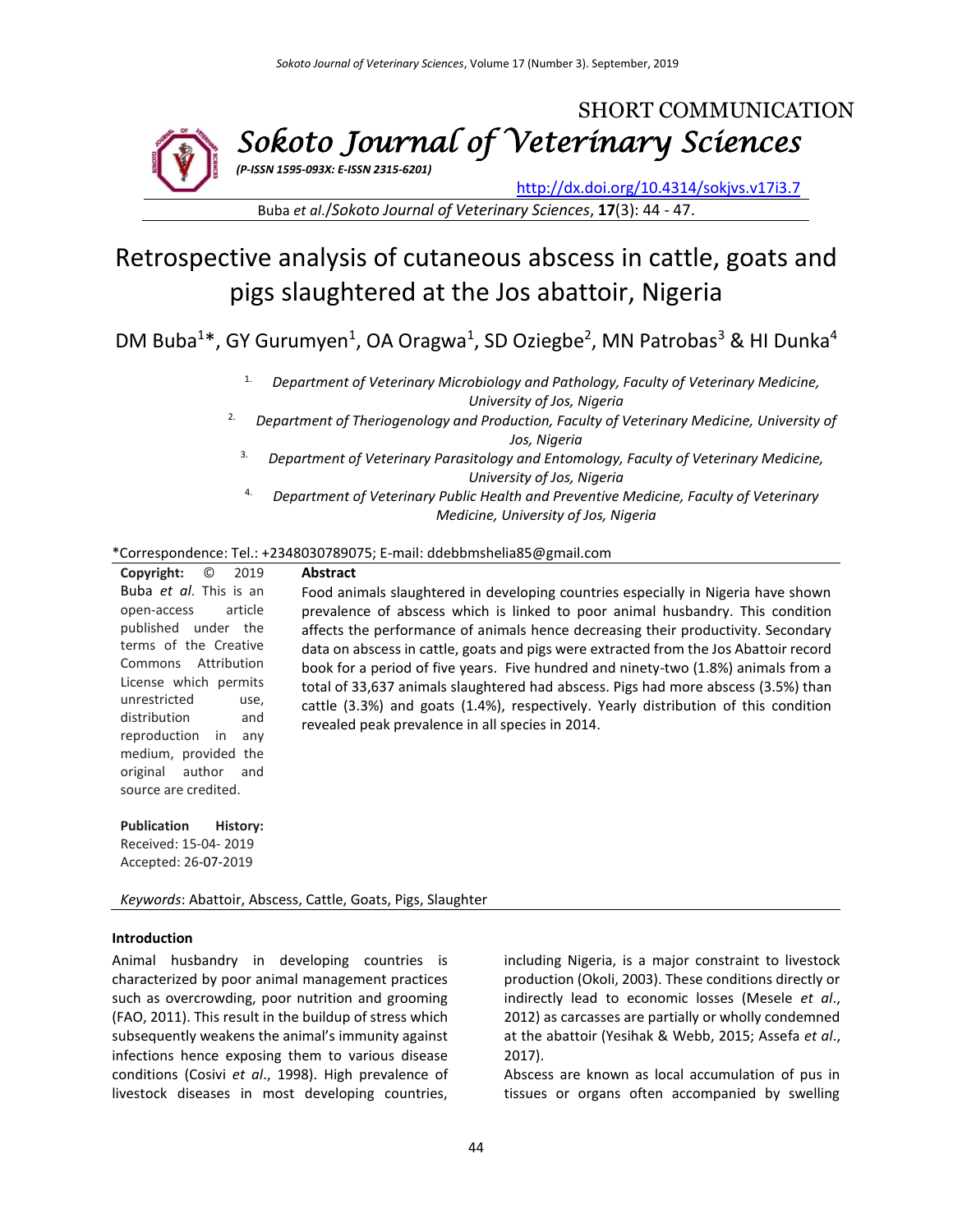

Buba *et al*./*Sokoto Journal of Veterinary Sciences*, **17**(3): 44 - 47.

# Retrospective analysis of cutaneous abscess in cattle, goats and pigs slaughtered at the Jos abattoir, Nigeria

DM Buba<sup>1\*</sup>, GY Gurumyen<sup>1</sup>, OA Oragwa<sup>1</sup>, SD Oziegbe<sup>2</sup>, MN Patrobas<sup>3</sup> & HI Dunka<sup>4</sup>

1. *Department of Veterinary Microbiology and Pathology, Faculty of Veterinary Medicine, University of Jos, Nigeria*

<sup>2.</sup> Department of Theriogenology and Production, Faculty of Veterinary Medicine, University of *Jos, Nigeria*

- 3. *Department of Veterinary Parasitology and Entomology, Faculty of Veterinary Medicine, University of Jos, Nigeria*
- 4. *Department of Veterinary Public Health and Preventive Medicine, Faculty of Veterinary Medicine, University of Jos, Nigeria*

#### \*Correspondence: Tel.: +2348030789075; E-mail: ddebbmshelia85@gmail.com

| <b>Copyright:</b> $\odot$ 2019 |  |  |  |  |  |
|--------------------------------|--|--|--|--|--|
| Buba et al. This is an         |  |  |  |  |  |
| open-access article            |  |  |  |  |  |
| published under the            |  |  |  |  |  |
| terms of the Creative          |  |  |  |  |  |
| Commons Attribution            |  |  |  |  |  |
| License which permits          |  |  |  |  |  |
| unrestricted<br>use,           |  |  |  |  |  |
| distribution<br>and            |  |  |  |  |  |
| reproduction in any            |  |  |  |  |  |
| medium, provided the           |  |  |  |  |  |
| original author and            |  |  |  |  |  |
| source are credited.           |  |  |  |  |  |
|                                |  |  |  |  |  |

**Abstract** Food animals slaughtered in developing countries especially in Nigeria have shown prevalence of abscess which is linked to poor animal husbandry. This condition affects the performance of animals hence decreasing their productivity. Secondary data on abscess in cattle, goats and pigs were extracted from the Jos Abattoir record book for a period of five years. Five hundred and ninety-two (1.8%) animals from a total of 33,637 animals slaughtered had abscess. Pigs had more abscess (3.5%) than cattle (3.3%) and goats (1.4%), respectively. Yearly distribution of this condition revealed peak prevalence in all species in 2014.

**Publication History:** 

Received: 15-04- 2019 Accepted: 26-07-2019

*Keywords*: Abattoir, Abscess, Cattle, Goats, Pigs, Slaughter

#### **Introduction**

Animal husbandry in developing countries is characterized by poor animal management practices such as overcrowding, poor nutrition and grooming (FAO, 2011). This result in the buildup of stress which subsequently weakens the animal's immunity against infections hence exposing them to various disease conditions (Cosivi *et al*., 1998). High prevalence of livestock diseases in most developing countries,

including Nigeria, is a major constraint to livestock production (Okoli, 2003). These conditions directly or indirectly lead to economic losses (Mesele *et al*., 2012) as carcasses are partially or wholly condemned at the abattoir (Yesihak & Webb, 2015; Assefa *et al*., 2017).

Abscess are known as local accumulation of pus in tissues or organs often accompanied by swelling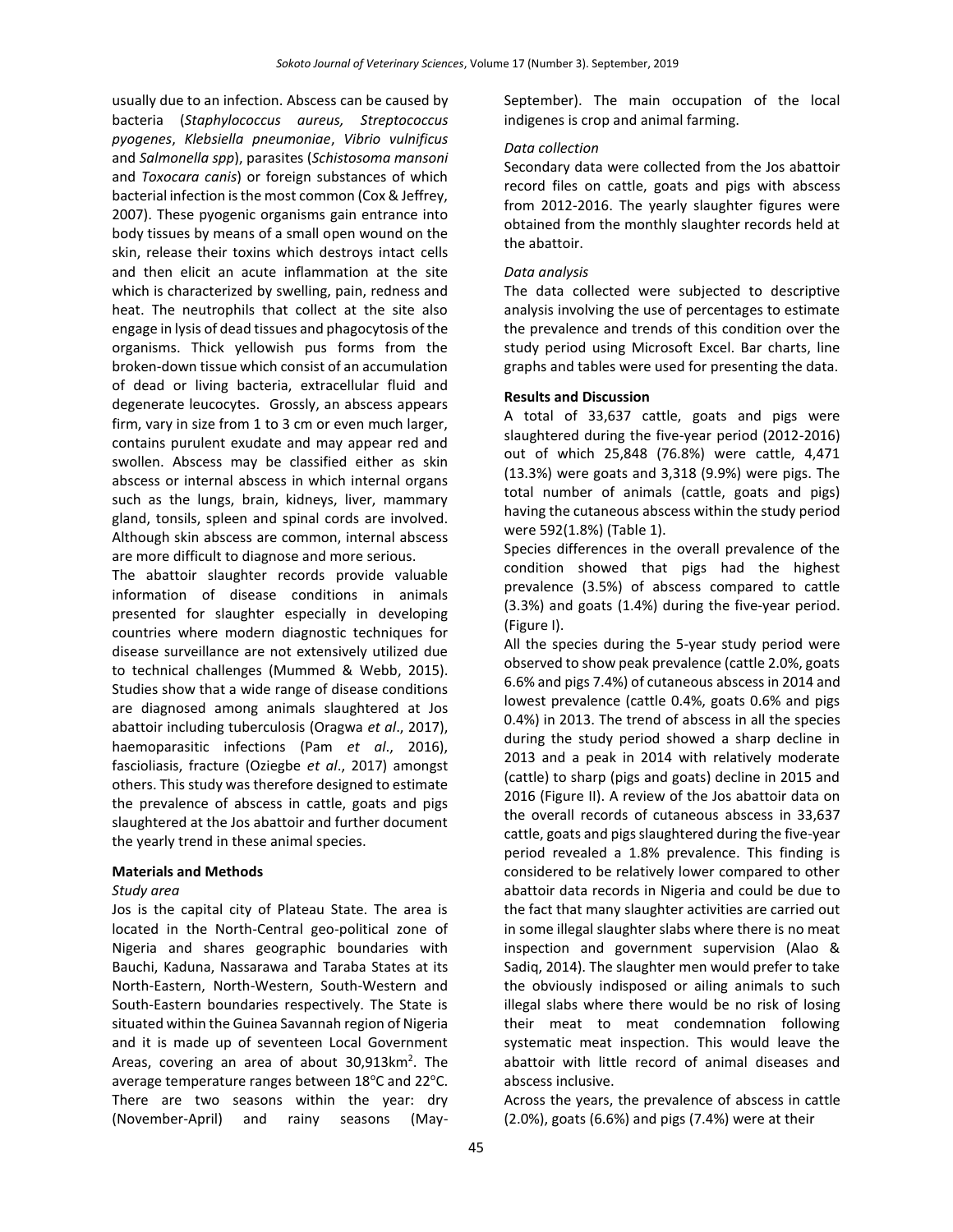usually due to an infection. Abscess can be caused by bacteria (*Staphylococcus aureus, Streptococcus pyogenes*, *Klebsiella pneumoniae*, *Vibrio vulnificus* and *Salmonella spp*), parasites (*Schistosoma mansoni* and *Toxocara canis*) or foreign substances of which bacterial infection is the most common (Cox & Jeffrey, 2007). These pyogenic organisms gain entrance into body tissues by means of a small open wound on the skin, release their toxins which destroys intact cells and then elicit an acute inflammation at the site which is characterized by swelling, pain, redness and heat. The neutrophils that collect at the site also engage in lysis of dead tissues and phagocytosis of the organisms. Thick yellowish pus forms from the broken-down tissue which consist of an accumulation of dead or living bacteria, extracellular fluid and degenerate leucocytes. Grossly, an abscess appears firm, vary in size from 1 to 3 cm or even much larger, contains purulent exudate and may appear red and swollen. Abscess may be classified either as skin abscess or internal abscess in which internal organs such as the lungs, brain, kidneys, liver, mammary gland, tonsils, spleen and spinal cords are involved. Although skin abscess are common, internal abscess are more difficult to diagnose and more serious.

The abattoir slaughter records provide valuable information of disease conditions in animals presented for slaughter especially in developing countries where modern diagnostic techniques for disease surveillance are not extensively utilized due to technical challenges (Mummed & Webb, 2015). Studies show that a wide range of disease conditions are diagnosed among animals slaughtered at Jos abattoir including tuberculosis (Oragwa *et al*., 2017), haemoparasitic infections (Pam *et al*., 2016), fascioliasis, fracture (Oziegbe *et al*., 2017) amongst others. This study was therefore designed to estimate the prevalence of abscess in cattle, goats and pigs slaughtered at the Jos abattoir and further document the yearly trend in these animal species.

### **Materials and Methods**

#### *Study area*

Jos is the capital city of Plateau State. The area is located in the North-Central geo-political zone of Nigeria and shares geographic boundaries with Bauchi, Kaduna, Nassarawa and Taraba States at its North-Eastern, North-Western, South-Western and South-Eastern boundaries respectively. The State is situated within the Guinea Savannah region of Nigeria and it is made up of seventeen Local Government Areas, covering an area of about 30,913km<sup>2</sup>. The average temperature ranges between 18°C and 22°C. There are two seasons within the year: dry (November-April) and rainy seasons (MaySeptember). The main occupation of the local indigenes is crop and animal farming.

#### *Data collection*

Secondary data were collected from the Jos abattoir record files on cattle, goats and pigs with abscess from 2012-2016. The yearly slaughter figures were obtained from the monthly slaughter records held at the abattoir.

#### *Data analysis*

The data collected were subjected to descriptive analysis involving the use of percentages to estimate the prevalence and trends of this condition over the study period using Microsoft Excel. Bar charts, line graphs and tables were used for presenting the data.

#### **Results and Discussion**

A total of 33,637 cattle, goats and pigs were slaughtered during the five-year period (2012-2016) out of which 25,848 (76.8%) were cattle, 4,471 (13.3%) were goats and 3,318 (9.9%) were pigs. The total number of animals (cattle, goats and pigs) having the cutaneous abscess within the study period were 592(1.8%) (Table 1).

Species differences in the overall prevalence of the condition showed that pigs had the highest prevalence (3.5%) of abscess compared to cattle (3.3%) and goats (1.4%) during the five-year period. (Figure I).

All the species during the 5-year study period were observed to show peak prevalence (cattle 2.0%, goats 6.6% and pigs 7.4%) of cutaneous abscess in 2014 and lowest prevalence (cattle 0.4%, goats 0.6% and pigs 0.4%) in 2013. The trend of abscess in all the species during the study period showed a sharp decline in 2013 and a peak in 2014 with relatively moderate (cattle) to sharp (pigs and goats) decline in 2015 and 2016 (Figure II). A review of the Jos abattoir data on the overall records of cutaneous abscess in 33,637 cattle, goats and pigs slaughtered during the five-year period revealed a 1.8% prevalence. This finding is considered to be relatively lower compared to other abattoir data records in Nigeria and could be due to the fact that many slaughter activities are carried out in some illegal slaughter slabs where there is no meat inspection and government supervision (Alao & Sadiq, 2014). The slaughter men would prefer to take the obviously indisposed or ailing animals to such illegal slabs where there would be no risk of losing their meat to meat condemnation following systematic meat inspection. This would leave the abattoir with little record of animal diseases and abscess inclusive.

Across the years, the prevalence of abscess in cattle (2.0%), goats (6.6%) and pigs (7.4%) were at their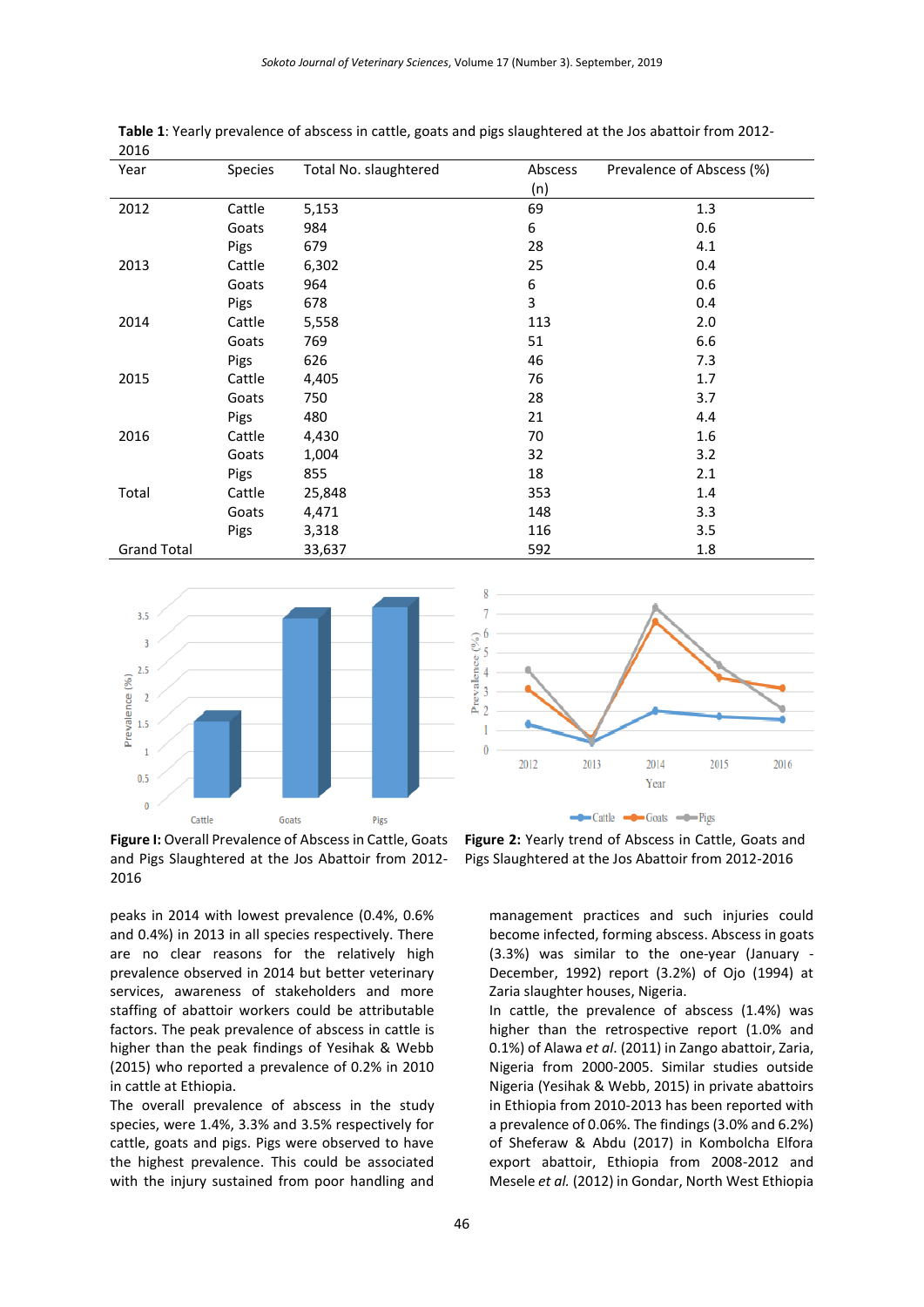| Year               | <b>Species</b> | Total No. slaughtered | Abscess<br>(n) | Prevalence of Abscess (%) |
|--------------------|----------------|-----------------------|----------------|---------------------------|
| 2012               | Cattle         | 5,153                 | 69             | 1.3                       |
|                    | Goats          | 984                   | 6              | 0.6                       |
|                    | Pigs           | 679                   | 28             | 4.1                       |
| 2013               | Cattle         | 6,302                 | 25             | 0.4                       |
|                    | Goats          | 964                   | 6              | 0.6                       |
|                    | Pigs           | 678                   | 3              | 0.4                       |
| 2014               | Cattle         | 5,558                 | 113            | 2.0                       |
|                    | Goats          | 769                   | 51             | 6.6                       |
|                    | Pigs           | 626                   | 46             | 7.3                       |
| 2015               | Cattle         | 4,405                 | 76             | 1.7                       |
|                    | Goats          | 750                   | 28             | 3.7                       |
|                    | Pigs           | 480                   | 21             | 4.4                       |
| 2016               | Cattle         | 4,430                 | 70             | 1.6                       |
|                    | Goats          | 1,004                 | 32             | 3.2                       |
|                    | Pigs           | 855                   | 18             | 2.1                       |
| Total              | Cattle         | 25,848                | 353            | 1.4                       |
|                    | Goats          | 4,471                 | 148            | 3.3                       |
|                    | Pigs           | 3,318                 | 116            | 3.5                       |
| <b>Grand Total</b> |                | 33,637                | 592            | 1.8                       |

**Table 1**: Yearly prevalence of abscess in cattle, goats and pigs slaughtered at the Jos abattoir from 2012- 2016



Figure I: Overall Prevalence of Abscess in Cattle, Goats and Pigs Slaughtered at the Jos Abattoir from 2012- 2016

peaks in 2014 with lowest prevalence (0.4%, 0.6% and 0.4%) in 2013 in all species respectively. There are no clear reasons for the relatively high prevalence observed in 2014 but better veterinary services, awareness of stakeholders and more staffing of abattoir workers could be attributable factors. The peak prevalence of abscess in cattle is higher than the peak findings of Yesihak & Webb (2015) who reported a prevalence of 0.2% in 2010 in cattle at Ethiopia.

The overall prevalence of abscess in the study species, were 1.4%, 3.3% and 3.5% respectively for cattle, goats and pigs. Pigs were observed to have the highest prevalence. This could be associated with the injury sustained from poor handling and



**Figure 2:** Yearly trend of Abscess in Cattle, Goats and Pigs Slaughtered at the Jos Abattoir from 2012-2016

management practices and such injuries could become infected, forming abscess. Abscess in goats (3.3%) was similar to the one-year (January - December, 1992) report (3.2%) of Ojo (1994) at Zaria slaughter houses, Nigeria.

In cattle, the prevalence of abscess (1.4%) was higher than the retrospective report (1.0% and 0.1%) of Alawa *et al*. (2011) in Zango abattoir, Zaria, Nigeria from 2000-2005. Similar studies outside Nigeria (Yesihak & Webb, 2015) in private abattoirs in Ethiopia from 2010-2013 has been reported with a prevalence of 0.06%. The findings (3.0% and 6.2%) of Sheferaw & Abdu (2017) in Kombolcha Elfora export abattoir, Ethiopia from 2008-2012 and Mesele *et al.* (2012) in Gondar, North West Ethiopia